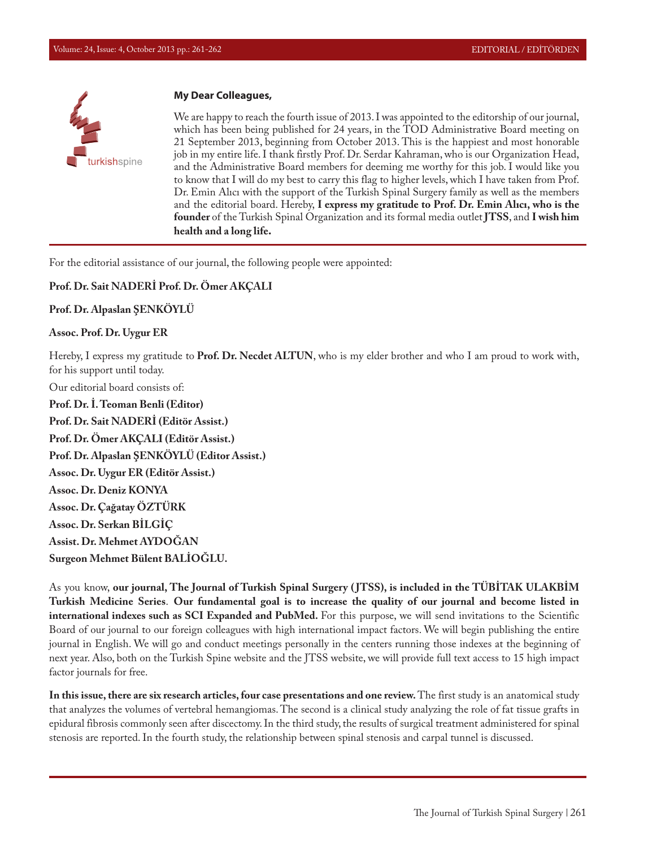

## **My Dear Colleagues,**

We are happy to reach the fourth issue of 2013. I was appointed to the editorship of our journal, which has been being published for 24 years, in the TOD Administrative Board meeting on 21 September 2013, beginning from October 2013. This is the happiest and most honorable job in my entire life. I thank firstly Prof. Dr. Serdar Kahraman, who is our Organization Head, and the Administrative Board members for deeming me worthy for this job. I would like you to know that I will do my best to carry this flag to higher levels, which I have taken from Prof. Dr. Emin Alıcı with the support of the Turkish Spinal Surgery family as well as the members and the editorial board. Hereby, **I express my gratitude to Prof. Dr. Emin Alıcı, who is the founder** of the Turkish Spinal Organization and its formal media outlet **JTSS**, and **I wish him health and a long life.**

For the editorial assistance of our journal, the following people were appointed:

## **Prof. Dr. Sait NADERİ Prof. Dr. Ömer AKÇALI**

## **Prof. Dr. Alpaslan ŞENKÖYLÜ**

## **Assoc. Prof. Dr. Uygur ER**

Hereby, I express my gratitude to **Prof. Dr. Necdet ALTUN**, who is my elder brother and who I am proud to work with, for his support until today.

Our editorial board consists of: **Prof. Dr. İ. Teoman Benli (Editor) Prof. Dr. Sait NADERİ (Editör Assist.) Prof. Dr. Ömer AKÇALI (Editör Assist.) Prof. Dr. Alpaslan ŞENKÖYLÜ (Editor Assist.) Assoc. Dr. Uygur ER (Editör Assist.) Assoc. Dr. Deniz KONYA Assoc. Dr. Çağatay ÖZTÜRK Assoc. Dr. Serkan BİLGİÇ Assist. Dr. Mehmet AYDOĞAN Surgeon Mehmet Bülent BALİOĞLU.**

As you know, **our journal, The Journal of Turkish Spinal Surgery ( JTSS), is included in the TÜBİTAK ULAKBİM Turkish Medicine Series**. **Our fundamental goal is to increase the quality of our journal and become listed in international indexes such as SCI Expanded and PubMed.** For this purpose, we will send invitations to the Scientific Board of our journal to our foreign colleagues with high international impact factors. We will begin publishing the entire journal in English. We will go and conduct meetings personally in the centers running those indexes at the beginning of next year. Also, both on the Turkish Spine website and the JTSS website, we will provide full text access to 15 high impact factor journals for free.

**In this issue, there are six research articles, four case presentations and one review.** The first study is an anatomical study that analyzes the volumes of vertebral hemangiomas. The second is a clinical study analyzing the role of fat tissue grafts in epidural fibrosis commonly seen after discectomy. In the third study, the results of surgical treatment administered for spinal stenosis are reported. In the fourth study, the relationship between spinal stenosis and carpal tunnel is discussed.